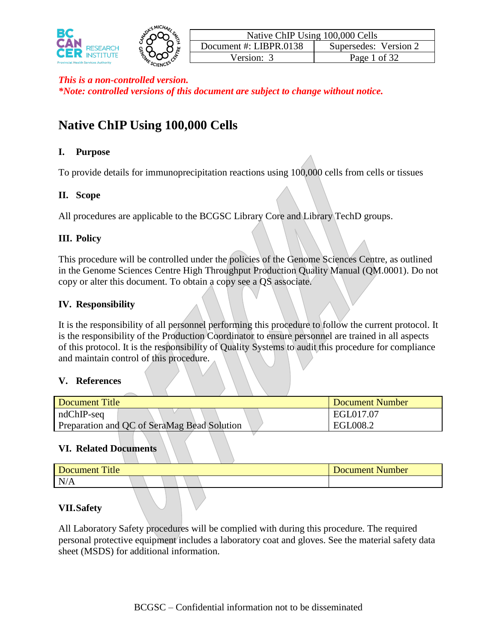

# **Native ChIP Using 100,000 Cells**

#### **I. Purpose**

To provide details for immunoprecipitation reactions using 100,000 cells from cells or tissues

### **II. Scope**

All procedures are applicable to the BCGSC Library Core and Library TechD groups.

### **III. Policy**

This procedure will be controlled under the policies of the Genome Sciences Centre, as outlined in the Genome Sciences Centre High Throughput Production Quality Manual (QM.0001). Do not copy or alter this document. To obtain a copy see a QS associate.

#### **IV. Responsibility**

It is the responsibility of all personnel performing this procedure to follow the current protocol. It is the responsibility of the Production Coordinator to ensure personnel are trained in all aspects of this protocol. It is the responsibility of Quality Systems to audit this procedure for compliance and maintain control of this procedure.

#### **V. References**

| Document Title                              | Document Number |
|---------------------------------------------|-----------------|
| $ndChIP-seq$                                | EGL017.07       |
| Preparation and QC of SeraMag Bead Solution | EGL008.2        |

#### **VI. Related Documents**

| Title<br>Document<br>Document Number |  |
|--------------------------------------|--|
| N/A                                  |  |

#### **VII.Safety**

All Laboratory Safety procedures will be complied with during this procedure. The required personal protective equipment includes a laboratory coat and gloves. See the material safety data sheet (MSDS) for additional information.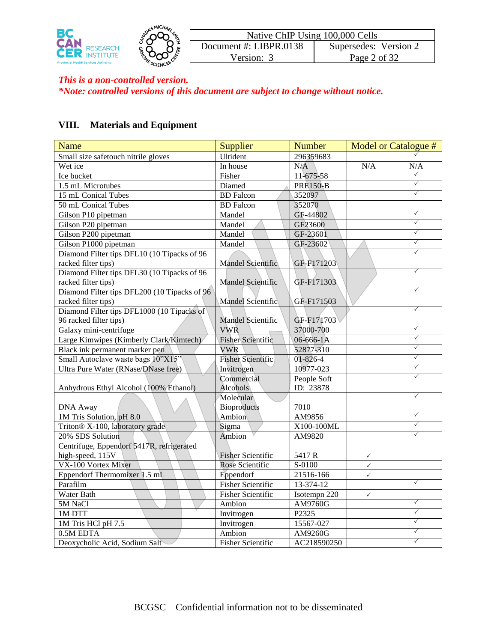

### **VIII. Materials and Equipment**

| Name                                         | Supplier                 | <b>Number</b><br>Model or Catalogue # |              |              |
|----------------------------------------------|--------------------------|---------------------------------------|--------------|--------------|
| Small size safetouch nitrile gloves          | Ultident                 | 296359683                             |              |              |
| Wet ice                                      | In house                 | N/A                                   | N/A          | N/A          |
| Ice bucket                                   | Fisher                   | 11-675-58                             |              | $\checkmark$ |
| 1.5 mL Microtubes                            | Diamed                   | <b>PRE150-B</b>                       |              | $\checkmark$ |
| 15 mL Conical Tubes                          | <b>BD</b> Falcon         | 352097                                |              | $\checkmark$ |
| 50 mL Conical Tubes                          | <b>BD</b> Falcon         | 352070                                |              |              |
| Gilson P10 pipetman                          | Mandel                   | GF-44802                              |              | $\checkmark$ |
| Gilson P20 pipetman                          | Mandel                   | GF23600                               |              | $\checkmark$ |
| Gilson P200 pipetman                         | Mandel                   | GF-23601                              |              | $\checkmark$ |
| Gilson P1000 pipetman                        | Mandel                   | GF-23602                              |              | $\checkmark$ |
| Diamond Filter tips DFL10 (10 Tipacks of 96  |                          |                                       |              | ✓            |
| racked filter tips)                          | Mandel Scientific        | GF-F171203                            |              |              |
| Diamond Filter tips DFL30 (10 Tipacks of 96  |                          |                                       |              |              |
| racked filter tips)                          | Mandel Scientific        | GF-F171303                            |              |              |
| Diamond Filter tips DFL200 (10 Tipacks of 96 |                          |                                       |              |              |
| racked filter tips)                          | Mandel Scientific        | GF-F171503                            |              |              |
| Diamond Filter tips DFL1000 (10 Tipacks of   |                          |                                       |              | $\checkmark$ |
| 96 racked filter tips)                       | Mandel Scientific        | GF-F171703                            |              |              |
| Galaxy mini-centrifuge                       | <b>VWR</b>               | 37000-700                             |              | $\checkmark$ |
| Large Kimwipes (Kimberly Clark/Kimtech)      | <b>Fisher Scientific</b> | 06-666-1A                             |              | ✓            |
| Black ink permanent marker pen               | <b>VWR</b>               | 52877-310                             |              | ✓            |
| Small Autoclave waste bags 10"X15"           | <b>Fisher Scientific</b> | 01-826-4                              |              | ✓            |
| Ultra Pure Water (RNase/DNase free)          | Invitrogen               | 10977-023                             |              | $\checkmark$ |
|                                              | Commercial               | People Soft                           |              | ✓            |
| Anhydrous Ethyl Alcohol (100% Ethanol)       | Alcohols                 | ID: 23878                             |              |              |
|                                              | Molecular                |                                       |              | $\checkmark$ |
| <b>DNA Away</b>                              | <b>Bioproducts</b>       | 7010                                  |              |              |
| 1M Tris Solution, pH 8.0                     | Ambion                   | AM9856                                |              | $\checkmark$ |
| Triton® X-100, laboratory grade              | Sigma                    | X100-100ML                            |              | $\checkmark$ |
| 20% SDS Solution                             | Ambion                   | AM9820                                |              | $\checkmark$ |
| Centrifuge, Eppendorf 5417R, refrigerated    |                          |                                       |              |              |
| high-speed, 115V                             | <b>Fisher Scientific</b> | 5417R                                 | $\checkmark$ |              |
| VX-100 Vortex Mixer                          | Rose Scientific          | S-0100                                | $\checkmark$ |              |
| Eppendorf Thermomixer 1.5 mL                 | Eppendorf                | 21516-166                             | $\checkmark$ |              |
| Parafilm                                     | <b>Fisher Scientific</b> | 13-374-12                             |              | $\checkmark$ |
| Water Bath                                   | <b>Fisher Scientific</b> | Isotempn 220                          | $\checkmark$ |              |
| 5M NaCl                                      | Ambion                   | AM9760G                               |              | $\checkmark$ |
| 1M DTT                                       | Invitrogen               | P2325                                 |              | ✓            |
| 1M Tris HCl pH 7.5                           | Invitrogen               | 15567-027                             |              | ✓            |
| 0.5M EDTA                                    | Ambion                   | AM9260G                               |              |              |
| Deoxycholic Acid, Sodium Salt                | <b>Fisher Scientific</b> | AC218590250                           |              | ✓            |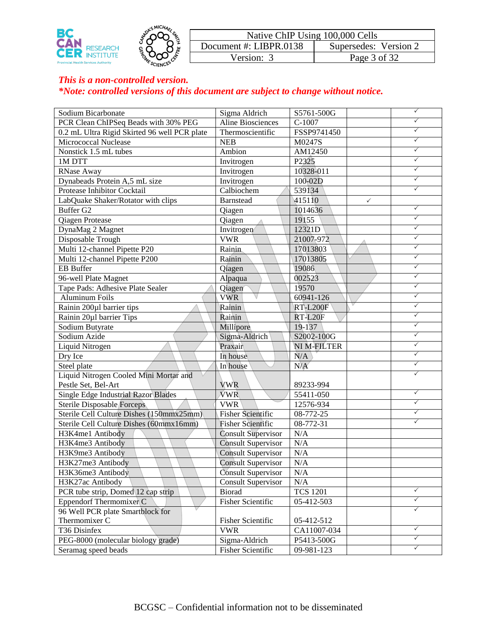

| Sodium Bicarbonate                           | Sigma Aldrich             | S5761-500G        |              | $\checkmark$ |
|----------------------------------------------|---------------------------|-------------------|--------------|--------------|
| PCR Clean ChIPSeq Beads with 30% PEG         | <b>Aline Biosciences</b>  | $C-1007$          |              | ✓            |
| 0.2 mL Ultra Rigid Skirted 96 well PCR plate | Thermoscientific          | FSSP9741450       |              | ✓            |
| Micrococcal Nuclease                         | <b>NEB</b>                | M0247S            |              | $\checkmark$ |
| Nonstick 1.5 mL tubes                        | Ambion                    | AM12450           |              | $\checkmark$ |
| 1M DTT                                       | Invitrogen                | P <sub>2325</sub> |              | $\checkmark$ |
| RNase Away                                   | Invitrogen                | 10328-011         |              | $\checkmark$ |
| Dynabeads Protein A,5 mL size                | Invitrogen                | 100-02D           |              | $\checkmark$ |
| Protease Inhibitor Cocktail                  | Calbiochem                | 539134            |              | $\checkmark$ |
| LabQuake Shaker/Rotator with clips           | <b>Barnstead</b>          | 415110            | $\checkmark$ |              |
| Buffer G2                                    | Qiagen                    | 1014636           |              | $\checkmark$ |
| <b>Qiagen Protease</b>                       | <b>Qiagen</b>             | 19155             |              | $\checkmark$ |
| DynaMag 2 Magnet                             | Invitrogen                | 12321D            |              | $\checkmark$ |
| Disposable Trough                            | <b>VWR</b>                | 21007-972         |              | $\checkmark$ |
| Multi 12-channel Pipette P20                 | Rainin                    | 17013803          |              | $\checkmark$ |
| Multi 12-channel Pipette P200                | Rainin                    | 17013805          |              | $\checkmark$ |
| <b>EB</b> Buffer                             | Qiagen                    | 19086             |              | $\checkmark$ |
| 96-well Plate Magnet                         | Alpaqua                   | 002523            |              | $\checkmark$ |
| Tape Pads: Adhesive Plate Sealer             | Qiagen                    | 19570             |              | $\checkmark$ |
| <b>Aluminum Foils</b>                        | <b>VWR</b>                | 60941-126         |              | $\checkmark$ |
| Rainin 200µ1 barrier tips                    | Rainin                    | <b>RT-L200F</b>   |              | $\checkmark$ |
| Rainin 20µ1 barrier Tips                     | Rainin                    | RT-L20F           |              | $\checkmark$ |
| Sodium Butyrate                              | Millipore                 | 19-137            |              | $\checkmark$ |
| Sodium Azide                                 | Sigma-Aldrich             | S2002-100G        |              | $\checkmark$ |
| Liquid Nitrogen                              | Praxair                   | NI M-FILTER       |              | $\checkmark$ |
| Dry Ice                                      | In house                  | N/A               |              | $\checkmark$ |
| Steel plate                                  | In house                  | N/A               |              | $\checkmark$ |
| Liquid Nitrogen Cooled Mini Mortar and       |                           |                   |              | ✓            |
| Pestle Set, Bel-Art                          | <b>VWR</b>                | 89233-994         |              |              |
| Single Edge Industrial Razor Blades          | <b>VWR</b>                | 55411-050         |              | $\checkmark$ |
| Sterile Disposable Forceps                   | <b>VWR</b>                | 12576-934         |              | $\checkmark$ |
| Sterile Cell Culture Dishes (150mmx25mm)     | <b>Fisher Scientific</b>  | 08-772-25         |              | ✓            |
| Sterile Cell Culture Dishes (60mmx16mm)      | <b>Fisher Scientific</b>  | 08-772-31         |              | $\checkmark$ |
| H3K4me1 Antibody                             | <b>Consult Supervisor</b> | N/A               |              |              |
| H3K4me3 Antibody                             | <b>Consult Supervisor</b> | N/A               |              |              |
| H3K9me3 Antibody                             | <b>Consult Supervisor</b> | N/A               |              |              |
| H3K27me3 Antibody                            | <b>Consult Supervisor</b> | N/A               |              |              |
| H3K36me3 Antibody                            | <b>Consult Supervisor</b> | N/A               |              |              |
| H3K27ac Antibody                             | <b>Consult Supervisor</b> | N/A               |              |              |
| PCR tube strip, Domed 12 cap strip           | <b>Biorad</b>             | <b>TCS 1201</b>   |              | $\checkmark$ |
| Eppendorf Thermomixer C                      | <b>Fisher Scientific</b>  | 05-412-503        |              | $\checkmark$ |
| 96 Well PCR plate Smartblock for             |                           |                   |              | $\checkmark$ |
| Thermomixer C                                | Fisher Scientific         | 05-412-512        |              |              |
| T36 Disinfex                                 | <b>VWR</b>                | CA11007-034       |              | $\checkmark$ |
| PEG-8000 (molecular biology grade)           | Sigma-Aldrich             | P5413-500G        |              | $\checkmark$ |
| Seramag speed beads                          | <b>Fisher Scientific</b>  | 09-981-123        |              | $\checkmark$ |
|                                              |                           |                   |              |              |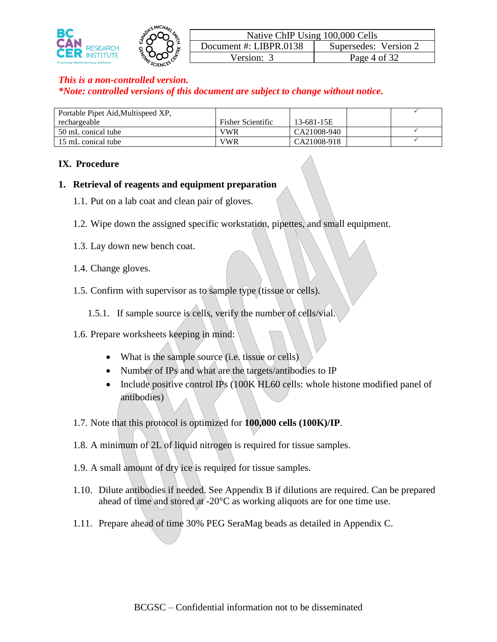

| Portable Pipet Aid, Multispeed XP, |                          |             |  |
|------------------------------------|--------------------------|-------------|--|
| rechargeable                       | <b>Fisher Scientific</b> | 13-681-15E  |  |
| 50 mL conical tube                 | VWR                      | CA21008-940 |  |
| 15 mL conical tube                 | VWR                      | CA21008-918 |  |

#### **IX. Procedure**

#### **1. Retrieval of reagents and equipment preparation**

- 1.1. Put on a lab coat and clean pair of gloves.
- 1.2. Wipe down the assigned specific workstation, pipettes, and small equipment.
- 1.3. Lay down new bench coat.
- 1.4. Change gloves.
- 1.5. Confirm with supervisor as to sample type (tissue or cells).

1.5.1. If sample source is cells, verify the number of cells/vial.

- 1.6. Prepare worksheets keeping in mind:
	- What is the sample source (i.e. tissue or cells)
	- Number of IPs and what are the targets/antibodies to IP
	- Include positive control IPs (100K HL60 cells: whole histone modified panel of antibodies)
- 1.7. Note that this protocol is optimized for **100,000 cells (100K)/IP**.
- 1.8. A minimum of 2L of liquid nitrogen is required for tissue samples.
- 1.9. A small amount of dry ice is required for tissue samples.
- 1.10. Dilute antibodies if needed. See Appendix B if dilutions are required. Can be prepared ahead of time and stored at -20 $\degree$ C as working aliquots are for one time use.
- 1.11. Prepare ahead of time 30% PEG SeraMag beads as detailed in Appendix C.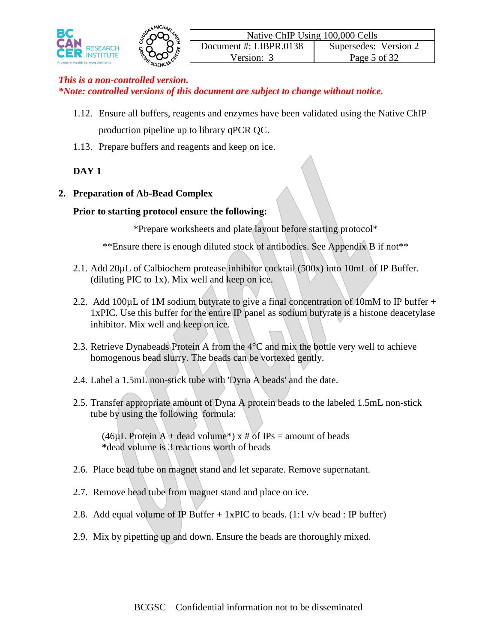

- 1.12. Ensure all buffers, reagents and enzymes have been validated using the Native ChIP production pipeline up to library qPCR QC.
- 1.13. Prepare buffers and reagents and keep on ice.

### **DAY 1**

### **2. Preparation of Ab-Bead Complex**

#### **Prior to starting protocol ensure the following:**

\*Prepare worksheets and plate layout before starting protocol\*

\*\*Ensure there is enough diluted stock of antibodies. See Appendix B if not\*\*

- 2.1. Add 20µL of Calbiochem protease inhibitor cocktail (500x) into 10mL of IP Buffer. (diluting PIC to 1x). Mix well and keep on ice.
- 2.2. Add 100 $\mu$ L of 1M sodium butyrate to give a final concentration of 10mM to IP buffer + 1xPIC. Use this buffer for the entire IP panel as sodium butyrate is a histone deacetylase inhibitor. Mix well and keep on ice.
- 2.3. Retrieve Dynabeads Protein A from the 4°C and mix the bottle very well to achieve homogenous bead slurry. The beads can be vortexed gently.
- 2.4. Label a 1.5mL non-stick tube with 'Dyna A beads' and the date.
- 2.5. Transfer appropriate amount of Dyna A protein beads to the labeled 1.5mL non-stick tube by using the following formula:

(46µL Protein A + dead volume<sup>\*</sup>) x # of IPs = amount of beads **\***dead volume is 3 reactions worth of beads

- 2.6. Place bead tube on magnet stand and let separate. Remove supernatant.
- 2.7. Remove bead tube from magnet stand and place on ice.
- 2.8. Add equal volume of IP Buffer  $+ 1xPIC$  to beads. (1:1 v/v bead : IP buffer)
- 2.9. Mix by pipetting up and down. Ensure the beads are thoroughly mixed.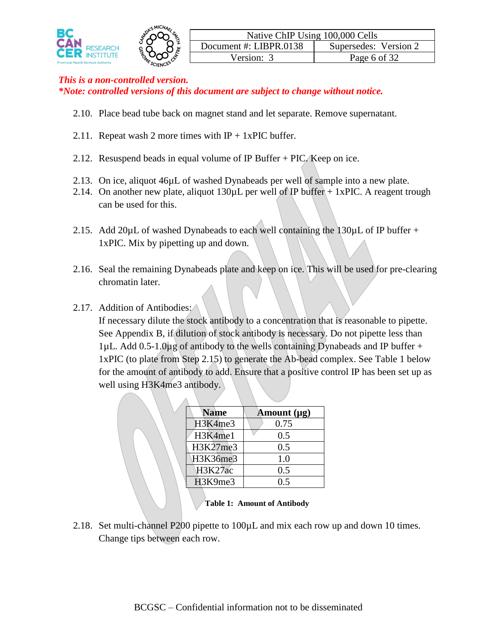

- 2.10. Place bead tube back on magnet stand and let separate. Remove supernatant.
- 2.11. Repeat wash 2 more times with  $IP + 1xPIC$  buffer.
- 2.12. Resuspend beads in equal volume of IP Buffer + PIC. Keep on ice.
- 2.13. On ice, aliquot 46µL of washed Dynabeads per well of sample into a new plate.
- 2.14. On another new plate, aliquot  $130\mu$ L per well of IP buffer + 1xPIC. A reagent trough can be used for this.
- 2.15. Add 20 $\mu$ L of washed Dynabeads to each well containing the 130 $\mu$ L of IP buffer + 1xPIC. Mix by pipetting up and down.
- 2.16. Seal the remaining Dynabeads plate and keep on ice. This will be used for pre-clearing chromatin later.
- 2.17. Addition of Antibodies:

If necessary dilute the stock antibody to a concentration that is reasonable to pipette. See Appendix B, if dilution of stock antibody is necessary. Do not pipette less than 1 $\mu$ L. Add 0.5-1.0 $\mu$ g of antibody to the wells containing Dynabeads and IP buffer + 1xPIC (to plate from Step 2.15) to generate the Ab-bead complex. See Table 1 below for the amount of antibody to add. Ensure that a positive control IP has been set up as well using H3K4me3 antibody.

| <b>Name</b>    | Amount $(\mu g)$ |
|----------------|------------------|
| H3K4me3        | 0.75             |
| H3K4me1        | 0.5              |
| H3K27me3       | 0.5              |
| H3K36me3       | 1.0              |
| <b>H3K27ac</b> | 0.5              |
| H3K9me3        | 0.5              |
|                |                  |

**Table 1: Amount of Antibody**

2.18. Set multi-channel P200 pipette to 100µL and mix each row up and down 10 times. Change tips between each row.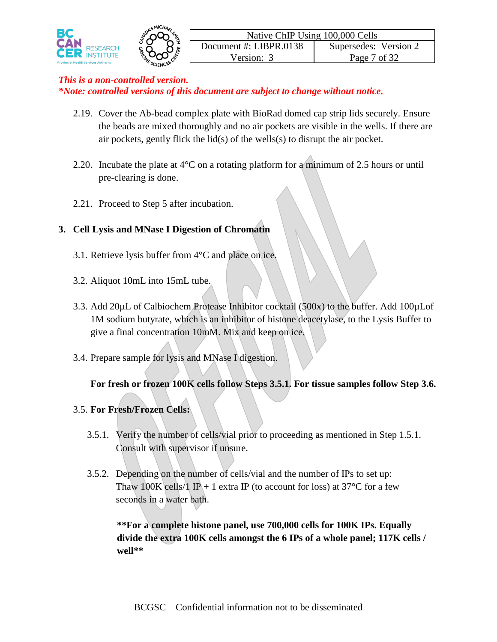

- 2.19. Cover the Ab-bead complex plate with BioRad domed cap strip lids securely. Ensure the beads are mixed thoroughly and no air pockets are visible in the wells. If there are air pockets, gently flick the lid(s) of the wells(s) to disrupt the air pocket.
- 2.20. Incubate the plate at  $4^{\circ}$ C on a rotating platform for a minimum of 2.5 hours or until pre-clearing is done.
- 2.21. Proceed to Step 5 after incubation.

# **3. Cell Lysis and MNase I Digestion of Chromatin**

- 3.1. Retrieve lysis buffer from 4°C and place on ice.
- 3.2. Aliquot 10mL into 15mL tube.
- 3.3. Add 20µL of Calbiochem Protease Inhibitor cocktail (500x) to the buffer. Add 100µLof 1M sodium butyrate, which is an inhibitor of histone deacetylase, to the Lysis Buffer to give a final concentration 10mM. Mix and keep on ice.
- 3.4. Prepare sample for lysis and MNase I digestion.

### **For fresh or frozen 100K cells follow Steps 3.5.1. For tissue samples follow Step 3.6.**

### 3.5. **For Fresh/Frozen Cells:**

- 3.5.1. Verify the number of cells/vial prior to proceeding as mentioned in Step 1.5.1. Consult with supervisor if unsure.
- 3.5.2. Depending on the number of cells/vial and the number of IPs to set up: Thaw 100K cells/1 IP + 1 extra IP (to account for loss) at 37 $\degree$ C for a few seconds in a water bath.

**\*\*For a complete histone panel, use 700,000 cells for 100K IPs. Equally divide the extra 100K cells amongst the 6 IPs of a whole panel; 117K cells / well\*\***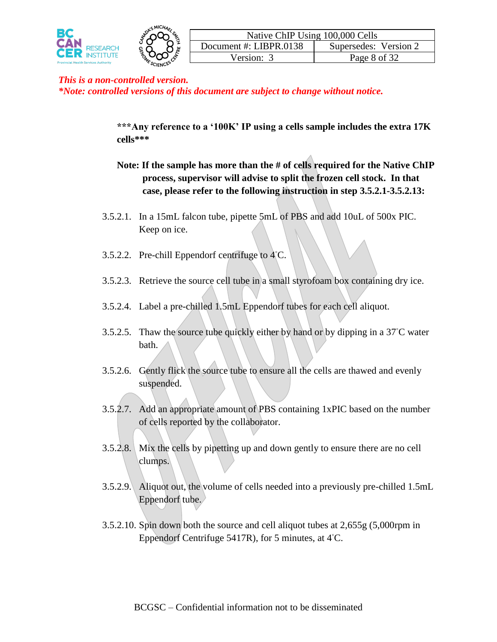



**\*\*\*Any reference to a '100K' IP using a cells sample includes the extra 17K cells\*\*\***

- **Note: If the sample has more than the # of cells required for the Native ChIP process, supervisor will advise to split the frozen cell stock. In that case, please refer to the following instruction in step 3.5.2.1-3.5.2.13:**
- 3.5.2.1. In a 15mL falcon tube, pipette 5mL of PBS and add 10uL of 500x PIC. Keep on ice.
- 3.5.2.2. Pre-chill Eppendorf centrifuge to  $4^\circ$ C.
- 3.5.2.3. Retrieve the source cell tube in a small styrofoam box containing dry ice.
- 3.5.2.4. Label a pre-chilled 1.5mL Eppendorf tubes for each cell aliquot.
- 3.5.2.5. Thaw the source tube quickly either by hand or by dipping in a 37◦C water bath.
- 3.5.2.6. Gently flick the source tube to ensure all the cells are thawed and evenly suspended.
- 3.5.2.7. Add an appropriate amount of PBS containing 1xPIC based on the number of cells reported by the collaborator.
- 3.5.2.8. Mix the cells by pipetting up and down gently to ensure there are no cell clumps.
- 3.5.2.9. Aliquot out, the volume of cells needed into a previously pre-chilled 1.5mL Eppendorf tube.
- 3.5.2.10. Spin down both the source and cell aliquot tubes at 2,655g (5,000rpm in Eppendorf Centrifuge 5417R), for 5 minutes, at 4◦C.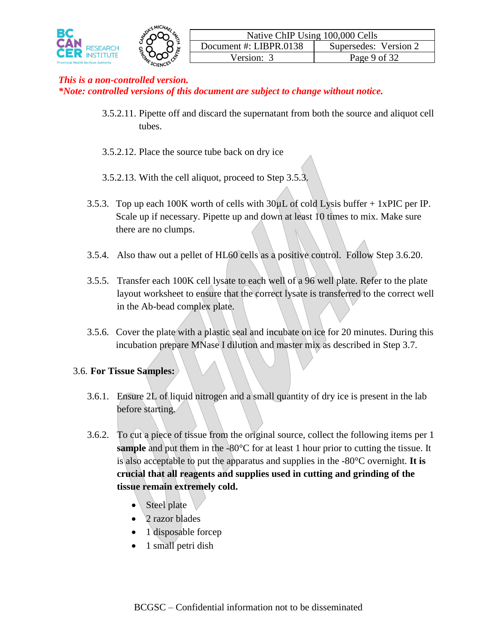

- 3.5.2.11. Pipette off and discard the supernatant from both the source and aliquot cell tubes.
- 3.5.2.12. Place the source tube back on dry ice
- 3.5.2.13. With the cell aliquot, proceed to Step 3.5.3.
- 3.5.3. Top up each 100K worth of cells with 30µL of cold Lysis buffer + 1xPIC per IP. Scale up if necessary. Pipette up and down at least 10 times to mix. Make sure there are no clumps.
- 3.5.4. Also thaw out a pellet of HL60 cells as a positive control. Follow Step 3.6.20.
- 3.5.5. Transfer each 100K cell lysate to each well of a 96 well plate. Refer to the plate layout worksheet to ensure that the correct lysate is transferred to the correct well in the Ab-bead complex plate.
- 3.5.6. Cover the plate with a plastic seal and incubate on ice for 20 minutes. During this incubation prepare MNase I dilution and master mix as described in Step 3.7.

#### 3.6. **For Tissue Samples:**

- 3.6.1. Ensure 2L of liquid nitrogen and a small quantity of dry ice is present in the lab before starting.
- 3.6.2. To cut a piece of tissue from the original source, collect the following items per 1 **sample** and put them in the -80°C for at least 1 hour prior to cutting the tissue. It is also acceptable to put the apparatus and supplies in the -80°C overnight. **It is crucial that all reagents and supplies used in cutting and grinding of the tissue remain extremely cold.**
	- Steel plate
	- 2 razor blades
	- 1 disposable forcep
	- 1 small petri dish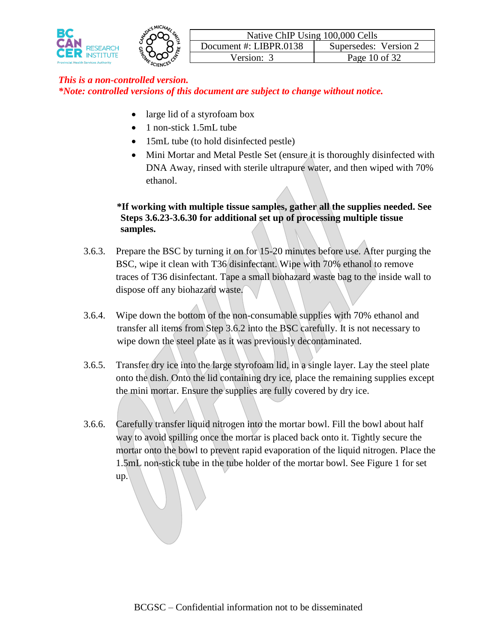

- large lid of a styrofoam box
- 1 non-stick 1.5mL tube
- 15mL tube (to hold disinfected pestle)
- Mini Mortar and Metal Pestle Set (ensure it is thoroughly disinfected with DNA Away, rinsed with sterile ultrapure water, and then wiped with 70% ethanol.

### **\*If working with multiple tissue samples, gather all the supplies needed. See Steps 3.6.23-3.6.30 for additional set up of processing multiple tissue samples.**

- 3.6.3. Prepare the BSC by turning it on for 15-20 minutes before use. After purging the BSC, wipe it clean with T36 disinfectant. Wipe with 70% ethanol to remove traces of T36 disinfectant. Tape a small biohazard waste bag to the inside wall to dispose off any biohazard waste.
- 3.6.4. Wipe down the bottom of the non-consumable supplies with 70% ethanol and transfer all items from Step 3.6.2 into the BSC carefully. It is not necessary to wipe down the steel plate as it was previously decontaminated.
- 3.6.5. Transfer dry ice into the large styrofoam lid, in a single layer. Lay the steel plate onto the dish. Onto the lid containing dry ice, place the remaining supplies except the mini mortar. Ensure the supplies are fully covered by dry ice.
- 3.6.6. Carefully transfer liquid nitrogen into the mortar bowl. Fill the bowl about half way to avoid spilling once the mortar is placed back onto it. Tightly secure the mortar onto the bowl to prevent rapid evaporation of the liquid nitrogen. Place the 1.5mL non-stick tube in the tube holder of the mortar bowl. See Figure 1 for set up.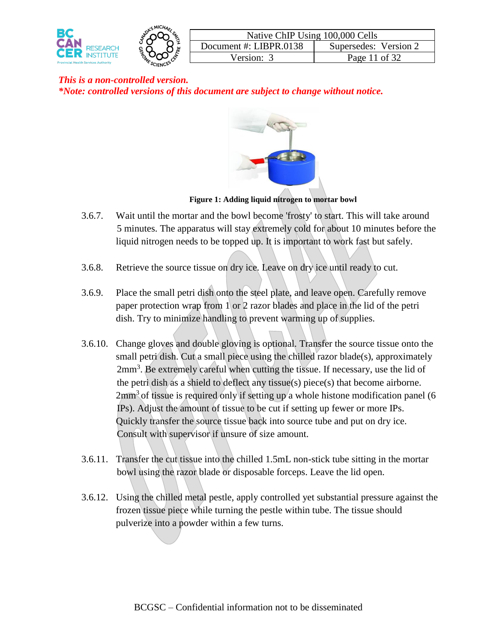



#### **Figure 1: Adding liquid nitrogen to mortar bowl**

- 3.6.7. Wait until the mortar and the bowl become 'frosty' to start. This will take around 5 minutes. The apparatus will stay extremely cold for about 10 minutes before the liquid nitrogen needs to be topped up. It is important to work fast but safely.
- 3.6.8. Retrieve the source tissue on dry ice. Leave on dry ice until ready to cut.
- 3.6.9. Place the small petri dish onto the steel plate, and leave open. Carefully remove paper protection wrap from 1 or 2 razor blades and place in the lid of the petri dish. Try to minimize handling to prevent warming up of supplies.
- 3.6.10. Change gloves and double gloving is optional. Transfer the source tissue onto the small petri dish. Cut a small piece using the chilled razor blade(s), approximately 2mm<sup>3</sup>. Be extremely careful when cutting the tissue. If necessary, use the lid of the petri dish as a shield to deflect any tissue(s) piece(s) that become airborne.  $2mm<sup>3</sup>$  of tissue is required only if setting up a whole histone modification panel (6) IPs). Adjust the amount of tissue to be cut if setting up fewer or more IPs. Quickly transfer the source tissue back into source tube and put on dry ice. Consult with supervisor if unsure of size amount.
- 3.6.11. Transfer the cut tissue into the chilled 1.5mL non-stick tube sitting in the mortar bowl using the razor blade or disposable forceps. Leave the lid open.
- 3.6.12. Using the chilled metal pestle, apply controlled yet substantial pressure against the frozen tissue piece while turning the pestle within tube. The tissue should pulverize into a powder within a few turns.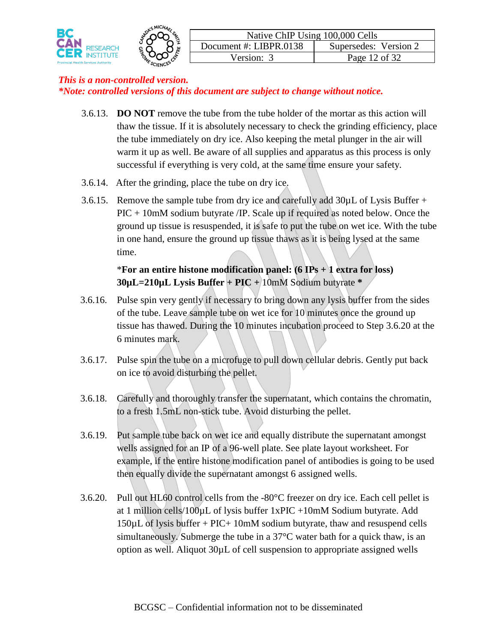

- 3.6.13. **DO NOT** remove the tube from the tube holder of the mortar as this action will thaw the tissue. If it is absolutely necessary to check the grinding efficiency, place the tube immediately on dry ice. Also keeping the metal plunger in the air will warm it up as well. Be aware of all supplies and apparatus as this process is only successful if everything is very cold, at the same time ensure your safety.
- 3.6.14. After the grinding, place the tube on dry ice.
- 3.6.15. Remove the sample tube from dry ice and carefully add  $30\mu$ L of Lysis Buffer + PIC + 10mM sodium butyrate /IP. Scale up if required as noted below. Once the ground up tissue is resuspended, it is safe to put the tube on wet ice. With the tube in one hand, ensure the ground up tissue thaws as it is being lysed at the same time.

# \***For an entire histone modification panel: (6 IPs + 1 extra for loss) 30µL=210µL Lysis Buffer + PIC +** 10mM Sodium butyrate **\***

- 3.6.16. Pulse spin very gently if necessary to bring down any lysis buffer from the sides of the tube. Leave sample tube on wet ice for 10 minutes once the ground up tissue has thawed. During the 10 minutes incubation proceed to Step 3.6.20 at the 6 minutes mark.
- 3.6.17. Pulse spin the tube on a microfuge to pull down cellular debris. Gently put back on ice to avoid disturbing the pellet.
- 3.6.18. Carefully and thoroughly transfer the supernatant, which contains the chromatin, to a fresh 1.5mL non-stick tube. Avoid disturbing the pellet.
- 3.6.19. Put sample tube back on wet ice and equally distribute the supernatant amongst wells assigned for an IP of a 96-well plate. See plate layout worksheet. For example, if the entire histone modification panel of antibodies is going to be used then equally divide the supernatant amongst 6 assigned wells.
- 3.6.20. Pull out HL60 control cells from the -80°C freezer on dry ice. Each cell pellet is at 1 million cells/100 $\mu$ L of lysis buffer 1xPIC +10mM Sodium butyrate. Add 150µL of lysis buffer + PIC+ 10mM sodium butyrate, thaw and resuspend cells simultaneously. Submerge the tube in a 37°C water bath for a quick thaw, is an option as well. Aliquot 30µL of cell suspension to appropriate assigned wells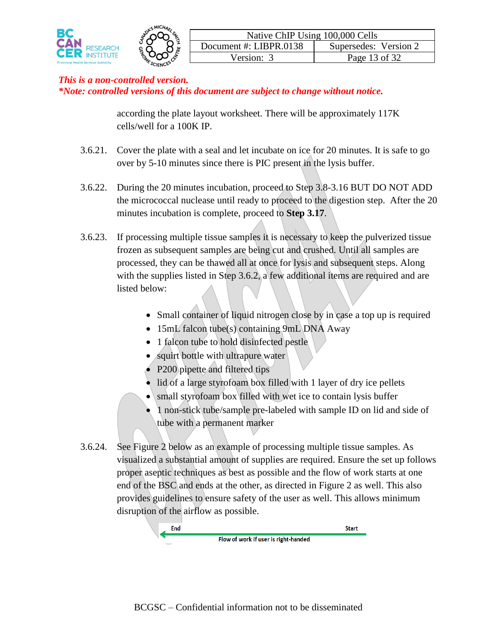

according the plate layout worksheet. There will be approximately 117K cells/well for a 100K IP.

- 3.6.21. Cover the plate with a seal and let incubate on ice for 20 minutes. It is safe to go over by 5-10 minutes since there is PIC present in the lysis buffer.
- 3.6.22. During the 20 minutes incubation, proceed to Step 3.8-3.16 BUT DO NOT ADD the micrococcal nuclease until ready to proceed to the digestion step. After the 20 minutes incubation is complete, proceed to **Step 3.17**.
- 3.6.23. If processing multiple tissue samples it is necessary to keep the pulverized tissue frozen as subsequent samples are being cut and crushed. Until all samples are processed, they can be thawed all at once for lysis and subsequent steps. Along with the supplies listed in Step 3.6.2, a few additional items are required and are listed below:
	- Small container of liquid nitrogen close by in case a top up is required
	- 15mL falcon tube(s) containing 9mL DNA Away
	- 1 falcon tube to hold disinfected pestle
	- squirt bottle with ultrapure water
	- P200 pipette and filtered tips
	- lid of a large styrofoam box filled with 1 layer of dry ice pellets
	- small styrofoam box filled with wet ice to contain lysis buffer
	- 1 non-stick tube/sample pre-labeled with sample ID on lid and side of tube with a permanent marker
- 3.6.24. See Figure 2 below as an example of processing multiple tissue samples. As visualized a substantial amount of supplies are required. Ensure the set up follows proper aseptic techniques as best as possible and the flow of work starts at one end of the BSC and ends at the other, as directed in Figure 2 as well. This also provides guidelines to ensure safety of the user as well. This allows minimum disruption of the airflow as possible.

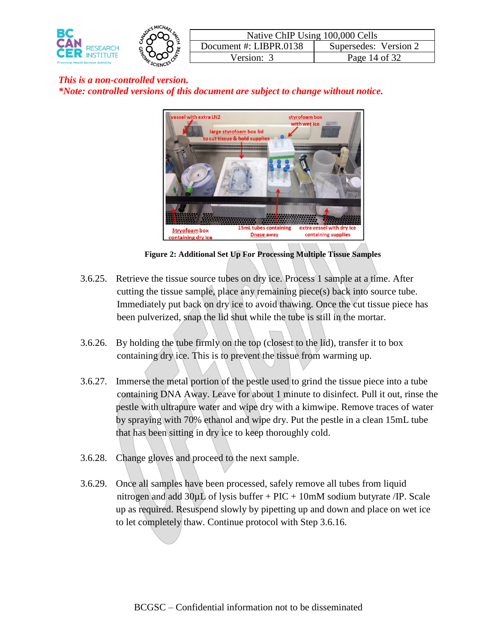



**Figure 2: Additional Set Up For Processing Multiple Tissue Samples**

- 3.6.25. Retrieve the tissue source tubes on dry ice. Process 1 sample at a time. After cutting the tissue sample, place any remaining piece(s) back into source tube. Immediately put back on dry ice to avoid thawing. Once the cut tissue piece has been pulverized, snap the lid shut while the tube is still in the mortar.
- 3.6.26. By holding the tube firmly on the top (closest to the lid), transfer it to box containing dry ice. This is to prevent the tissue from warming up.
- 3.6.27. Immerse the metal portion of the pestle used to grind the tissue piece into a tube containing DNA Away. Leave for about 1 minute to disinfect. Pull it out, rinse the pestle with ultrapure water and wipe dry with a kimwipe. Remove traces of water by spraying with 70% ethanol and wipe dry. Put the pestle in a clean 15mL tube that has been sitting in dry ice to keep thoroughly cold.
- 3.6.28. Change gloves and proceed to the next sample.
- 3.6.29. Once all samples have been processed, safely remove all tubes from liquid nitrogen and add  $30\mu L$  of lysis buffer + PIC + 10mM sodium butyrate /IP. Scale up as required. Resuspend slowly by pipetting up and down and place on wet ice to let completely thaw. Continue protocol with Step 3.6.16.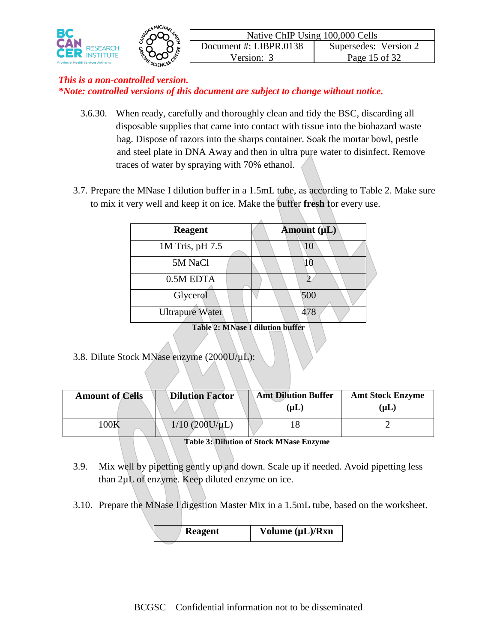

- 3.6.30. When ready, carefully and thoroughly clean and tidy the BSC, discarding all disposable supplies that came into contact with tissue into the biohazard waste bag. Dispose of razors into the sharps container. Soak the mortar bowl, pestle and steel plate in DNA Away and then in ultra pure water to disinfect. Remove traces of water by spraying with 70% ethanol.
- 3.7. Prepare the MNase I dilution buffer in a 1.5mL tube, as according to Table 2. Make sure to mix it very well and keep it on ice. Make the buffer **fresh** for every use.

| <b>Reagent</b>                          |  | Amount (µL) |  |  |
|-----------------------------------------|--|-------------|--|--|
| 1M Tris, pH 7.5                         |  | 10          |  |  |
| 5M NaCl                                 |  |             |  |  |
| 0.5M EDTA                               |  |             |  |  |
| Glycerol                                |  | 500         |  |  |
| <b>Ultrapure Water</b>                  |  | 478         |  |  |
| <b>Table 2: MNase I dilution buffer</b> |  |             |  |  |

3.8. Dilute Stock MNase enzyme (2000U/µL):

| <b>Amount of Cells</b> | <b>Dilution Factor</b> | <b>Amt Dilution Buffer</b><br>$(\mathbf{u}\mathbf{L})$ | <b>Amt Stock Enzyme</b><br>$(\mathbf{u}\mathbf{L})$ |
|------------------------|------------------------|--------------------------------------------------------|-----------------------------------------------------|
| $100\mathrm{K}$        | $1/10$ (200U/ $\mu$ L) |                                                        |                                                     |

**Table 3: Dilution of Stock MNase Enzyme**

- 3.9. Mix well by pipetting gently up and down. Scale up if needed. Avoid pipetting less than 2µL of enzyme. Keep diluted enzyme on ice.
- 3.10. Prepare the MNase I digestion Master Mix in a 1.5mL tube, based on the worksheet.

| <b>Reagent</b> | Volume $(\mu L)/Rxn$ |
|----------------|----------------------|
|                |                      |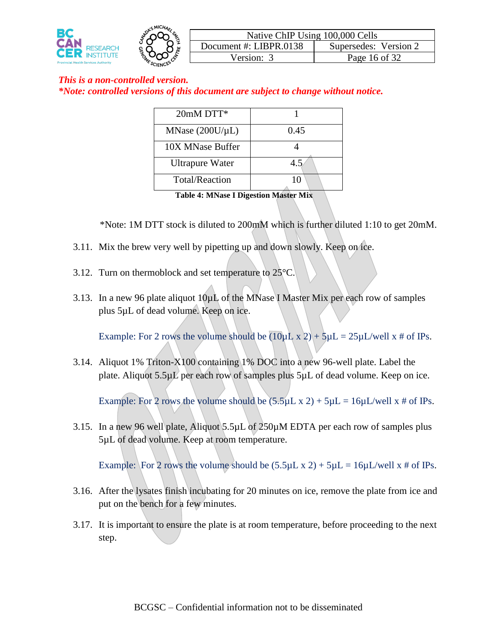

| $20mM$ DTT*            |      |
|------------------------|------|
| MNase $(200U/\mu L)$   | 0.45 |
| 10X MNase Buffer       |      |
| <b>Ultrapure Water</b> | 4.5  |
| <b>Total/Reaction</b>  |      |

 **Table 4: MNase I Digestion Master Mix**

\*Note: 1M DTT stock is diluted to 200mM which is further diluted 1:10 to get 20mM.

- 3.11. Mix the brew very well by pipetting up and down slowly. Keep on ice.
- 3.12. Turn on thermoblock and set temperature to 25°C.
- 3.13. In a new 96 plate aliquot  $10\mu L$  of the MNase I Master Mix per each row of samples plus 5µL of dead volume. Keep on ice.

Example: For 2 rows the volume should be  $(10\mu L \times 2) + 5\mu L = 25\mu L$ /well x # of IPs.

3.14. Aliquot 1% Triton-X100 containing 1% DOC into a new 96-well plate. Label the plate. Aliquot 5.5µL per each row of samples plus 5µL of dead volume. Keep on ice.

Example: For 2 rows the volume should be  $(5.5 \mu L \times 2) + 5 \mu L = 16 \mu L/well \times #$  of IPs.

3.15. In a new 96 well plate, Aliquot 5.5µL of 250µM EDTA per each row of samples plus 5µL of dead volume. Keep at room temperature.

Example: For 2 rows the volume should be  $(5.5 \mu L \times 2) + 5 \mu L = 16 \mu L/well \times #$  of IPs.

- 3.16. After the lysates finish incubating for 20 minutes on ice, remove the plate from ice and put on the bench for a few minutes.
- 3.17. It is important to ensure the plate is at room temperature, before proceeding to the next step.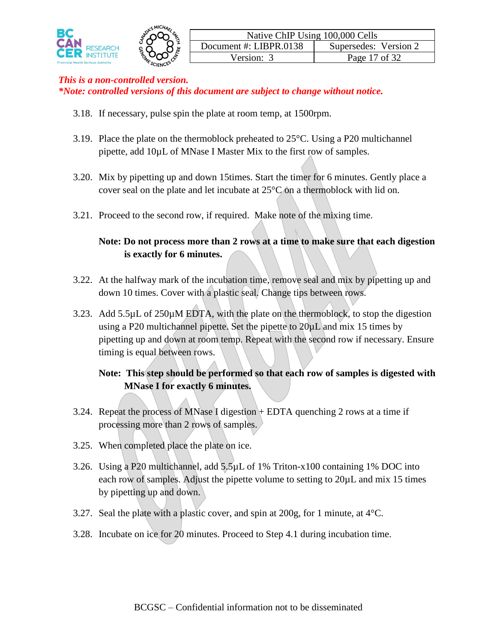

- 3.18. If necessary, pulse spin the plate at room temp, at 1500rpm.
- 3.19. Place the plate on the thermoblock preheated to 25°C. Using a P20 multichannel pipette, add 10µL of MNase I Master Mix to the first row of samples.
- 3.20. Mix by pipetting up and down 15times. Start the timer for 6 minutes. Gently place a cover seal on the plate and let incubate at  $25^{\circ}$ C on a thermoblock with lid on.
- 3.21. Proceed to the second row, if required. Make note of the mixing time.

### **Note: Do not process more than 2 rows at a time to make sure that each digestion is exactly for 6 minutes.**

- 3.22. At the halfway mark of the incubation time, remove seal and mix by pipetting up and down 10 times. Cover with a plastic seal. Change tips between rows.
- 3.23. Add 5.5µL of 250µM EDTA, with the plate on the thermoblock, to stop the digestion using a P20 multichannel pipette. Set the pipette to  $20\mu L$  and mix 15 times by pipetting up and down at room temp. Repeat with the second row if necessary. Ensure timing is equal between rows.

### **Note: This step should be performed so that each row of samples is digested with MNase I for exactly 6 minutes.**

- 3.24. Repeat the process of MNase I digestion  $+$  EDTA quenching 2 rows at a time if processing more than 2 rows of samples.
- 3.25. When completed place the plate on ice.
- 3.26. Using a P20 multichannel, add 5.5µL of 1% Triton-x100 containing 1% DOC into each row of samples. Adjust the pipette volume to setting to 20µL and mix 15 times by pipetting up and down.
- 3.27. Seal the plate with a plastic cover, and spin at 200g, for 1 minute, at  $4^{\circ}$ C.
- 3.28. Incubate on ice for 20 minutes. Proceed to Step 4.1 during incubation time.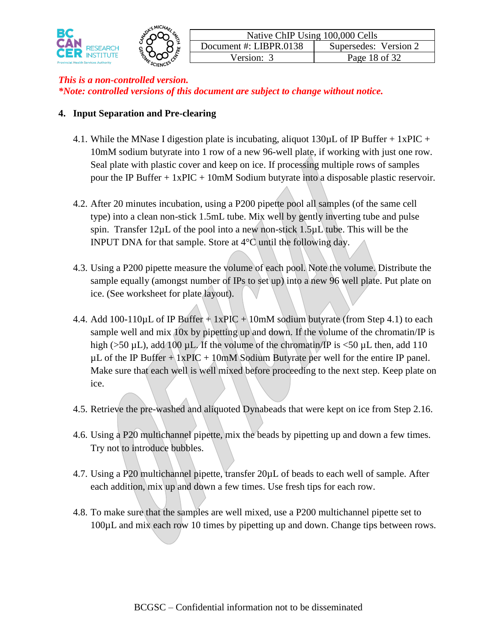

#### **4. Input Separation and Pre-clearing**

- 4.1. While the MNase I digestion plate is incubating, aliquot 130 $\mu$ L of IP Buffer + 1xPIC + 10mM sodium butyrate into 1 row of a new 96-well plate, if working with just one row. Seal plate with plastic cover and keep on ice. If processing multiple rows of samples pour the IP Buffer  $+ 1x\text{PIC} + 10\text{mM}$  Sodium butyrate into a disposable plastic reservoir.
- 4.2. After 20 minutes incubation, using a P200 pipette pool all samples (of the same cell type) into a clean non-stick 1.5mL tube. Mix well by gently inverting tube and pulse spin. Transfer  $12\mu L$  of the pool into a new non-stick  $1.5\mu L$  tube. This will be the INPUT DNA for that sample. Store at 4°C until the following day.
- 4.3. Using a P200 pipette measure the volume of each pool. Note the volume. Distribute the sample equally (amongst number of IPs to set up) into a new 96 well plate. Put plate on ice. (See worksheet for plate layout).
- 4.4. Add 100-110 $\mu$ L of IP Buffer + 1xPIC + 10mM sodium butyrate (from Step 4.1) to each sample well and mix 10x by pipetting up and down. If the volume of the chromatin/IP is high ( $>50 \mu L$ ), add 100  $\mu L$ . If the volume of the chromatin/IP is  $<50 \mu L$  then, add 110  $\mu$ L of the IP Buffer + 1xPIC + 10mM Sodium Butyrate per well for the entire IP panel. Make sure that each well is well mixed before proceeding to the next step. Keep plate on ice.
- 4.5. Retrieve the pre-washed and aliquoted Dynabeads that were kept on ice from Step 2.16.
- 4.6. Using a P20 multichannel pipette, mix the beads by pipetting up and down a few times. Try not to introduce bubbles.
- 4.7. Using a P20 multichannel pipette, transfer 20µL of beads to each well of sample. After each addition, mix up and down a few times. Use fresh tips for each row.
- 4.8. To make sure that the samples are well mixed, use a P200 multichannel pipette set to 100µL and mix each row 10 times by pipetting up and down. Change tips between rows.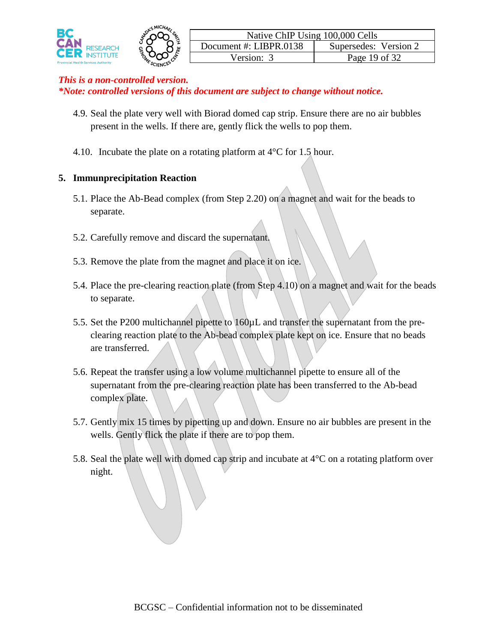

- 4.9. Seal the plate very well with Biorad domed cap strip. Ensure there are no air bubbles present in the wells. If there are, gently flick the wells to pop them.
- 4.10. Incubate the plate on a rotating platform at  $4^{\circ}$ C for 1.5 hour.

### **5. Immunprecipitation Reaction**

- 5.1. Place the Ab-Bead complex (from Step 2.20) on a magnet and wait for the beads to separate.
- 5.2. Carefully remove and discard the supernatant.
- 5.3. Remove the plate from the magnet and place it on ice.
- 5.4. Place the pre-clearing reaction plate (from Step 4.10) on a magnet and wait for the beads to separate.
- 5.5. Set the P200 multichannel pipette to 160µL and transfer the supernatant from the preclearing reaction plate to the Ab-bead complex plate kept on ice. Ensure that no beads are transferred.
- 5.6. Repeat the transfer using a low volume multichannel pipette to ensure all of the supernatant from the pre-clearing reaction plate has been transferred to the Ab-bead complex plate.
- 5.7. Gently mix 15 times by pipetting up and down. Ensure no air bubbles are present in the wells. Gently flick the plate if there are to pop them.
- 5.8. Seal the plate well with domed cap strip and incubate at 4°C on a rotating platform over night.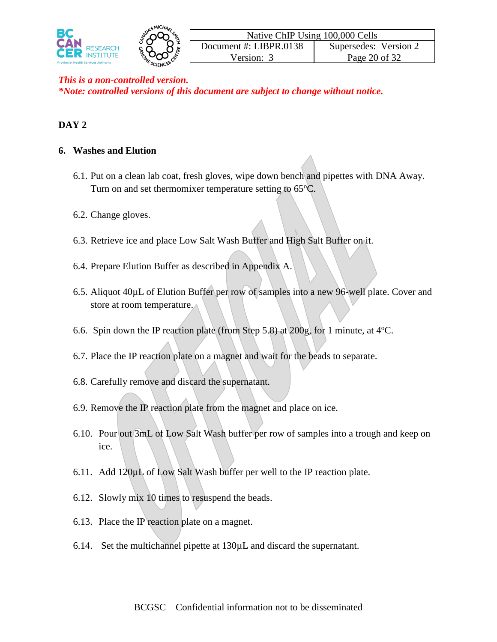

### **DAY 2**

#### **6. Washes and Elution**

- 6.1. Put on a clean lab coat, fresh gloves, wipe down bench and pipettes with DNA Away. Turn on and set thermomixer temperature setting to  $65^{\circ}$ C.
- 6.2. Change gloves.
- 6.3. Retrieve ice and place Low Salt Wash Buffer and High Salt Buffer on it.
- 6.4. Prepare Elution Buffer as described in Appendix A.
- 6.5. Aliquot 40µL of Elution Buffer per row of samples into a new 96-well plate. Cover and store at room temperature.
- 6.6. Spin down the IP reaction plate (from Step 5.8) at 200g, for 1 minute, at  $4^{\circ}$ C.
- 6.7. Place the IP reaction plate on a magnet and wait for the beads to separate.
- 6.8. Carefully remove and discard the supernatant.
- 6.9. Remove the IP reaction plate from the magnet and place on ice.
- 6.10. Pour out 3mL of Low Salt Wash buffer per row of samples into a trough and keep on ice.
- 6.11. Add  $120\mu L$  of Low Salt Wash buffer per well to the IP reaction plate.
- 6.12. Slowly mix 10 times to resuspend the beads.
- 6.13. Place the IP reaction plate on a magnet.
- 6.14. Set the multichannel pipette at 130µL and discard the supernatant.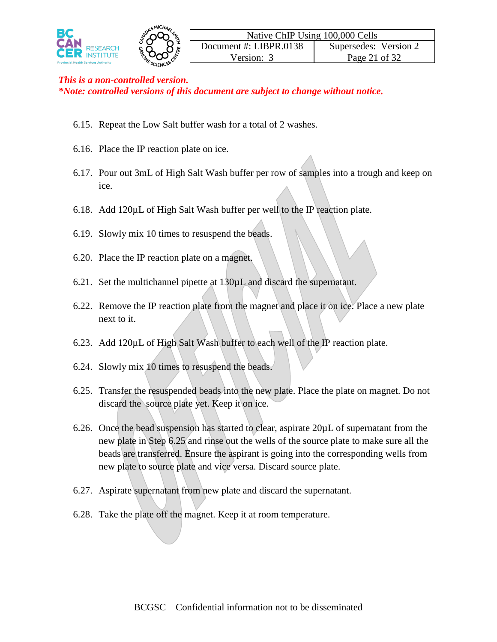

- 6.15. Repeat the Low Salt buffer wash for a total of 2 washes.
- 6.16. Place the IP reaction plate on ice.
- 6.17. Pour out 3mL of High Salt Wash buffer per row of samples into a trough and keep on ice.
- 6.18. Add  $120\mu L$  of High Salt Wash buffer per well to the IP reaction plate.
- 6.19. Slowly mix 10 times to resuspend the beads.
- 6.20. Place the IP reaction plate on a magnet.
- 6.21. Set the multichannel pipette at 130µL and discard the supernatant.
- 6.22. Remove the IP reaction plate from the magnet and place it on ice. Place a new plate next to it.
- 6.23. Add 120µL of High Salt Wash buffer to each well of the IP reaction plate.
- 6.24. Slowly mix 10 times to resuspend the beads.
- 6.25. Transfer the resuspended beads into the new plate. Place the plate on magnet. Do not discard the source plate yet. Keep it on ice.
- 6.26. Once the bead suspension has started to clear, aspirate 20µL of supernatant from the new plate in Step 6.25 and rinse out the wells of the source plate to make sure all the beads are transferred. Ensure the aspirant is going into the corresponding wells from new plate to source plate and vice versa. Discard source plate.
- 6.27. Aspirate supernatant from new plate and discard the supernatant.
- 6.28. Take the plate off the magnet. Keep it at room temperature.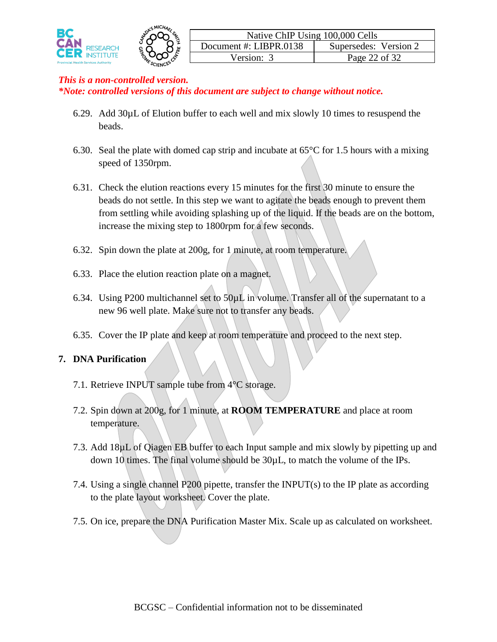

- 6.29. Add 30µL of Elution buffer to each well and mix slowly 10 times to resuspend the beads.
- 6.30. Seal the plate with domed cap strip and incubate at  $65^{\circ}$ C for 1.5 hours with a mixing speed of 1350rpm.
- 6.31. Check the elution reactions every 15 minutes for the first 30 minute to ensure the beads do not settle. In this step we want to agitate the beads enough to prevent them from settling while avoiding splashing up of the liquid. If the beads are on the bottom, increase the mixing step to 1800rpm for a few seconds.
- 6.32. Spin down the plate at 200g, for 1 minute, at room temperature.
- 6.33. Place the elution reaction plate on a magnet.
- 6.34. Using P200 multichannel set to  $50\mu$ L in volume. Transfer all of the supernatant to a new 96 well plate. Make sure not to transfer any beads.
- 6.35. Cover the IP plate and keep at room temperature and proceed to the next step.

### **7. DNA Purification**

- 7.1. Retrieve INPUT sample tube from 4°C storage.
- 7.2. Spin down at 200g, for 1 minute, at **ROOM TEMPERATURE** and place at room temperature.
- 7.3. Add 18µL of Qiagen EB buffer to each Input sample and mix slowly by pipetting up and down 10 times. The final volume should be 30µL, to match the volume of the IPs.
- 7.4. Using a single channel P200 pipette, transfer the INPUT(s) to the IP plate as according to the plate layout worksheet. Cover the plate.
- 7.5. On ice, prepare the DNA Purification Master Mix. Scale up as calculated on worksheet.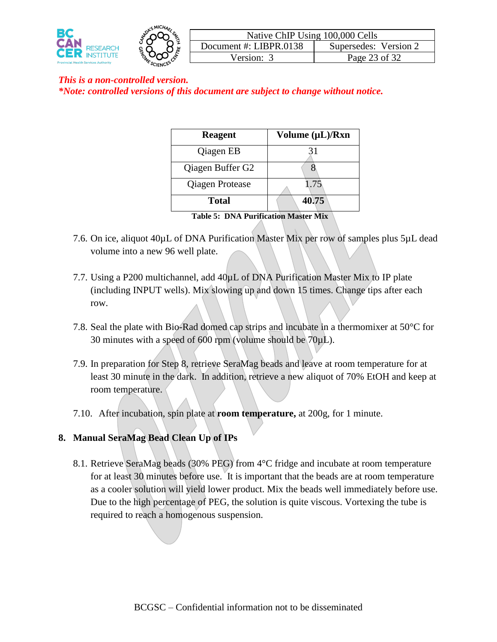



| Native ChIP Using 100,000 Cells |                       |  |  |  |
|---------------------------------|-----------------------|--|--|--|
| Document #: LIBPR.0138          | Supersedes: Version 2 |  |  |  |
| Version: 3                      | Page 23 of 32         |  |  |  |

| <b>Reagent</b>         | Volume $(\mu L)/Rxn$ |
|------------------------|----------------------|
| Qiagen EB              | 31                   |
| Qiagen Buffer G2       |                      |
| <b>Qiagen Protease</b> | 1.75                 |
| <b>Total</b>           | 40.75                |

**Table 5: DNA Purification Master Mix**

- 7.6. On ice, aliquot 40µL of DNA Purification Master Mix per row of samples plus 5µL dead volume into a new 96 well plate.
- 7.7. Using a P200 multichannel, add 40µL of DNA Purification Master Mix to IP plate (including INPUT wells). Mix slowing up and down 15 times. Change tips after each row.
- 7.8. Seal the plate with Bio-Rad domed cap strips and incubate in a thermomixer at 50°C for 30 minutes with a speed of 600 rpm (volume should be  $70\mu L$ ).
- 7.9. In preparation for Step 8, retrieve SeraMag beads and leave at room temperature for at least 30 minute in the dark. In addition, retrieve a new aliquot of 70% EtOH and keep at room temperature.
- 7.10. After incubation, spin plate at **room temperature,** at 200g, for 1 minute.

### **8. Manual SeraMag Bead Clean Up of IPs**

8.1. Retrieve SeraMag beads (30% PEG) from 4°C fridge and incubate at room temperature for at least 30 minutes before use. It is important that the beads are at room temperature as a cooler solution will yield lower product. Mix the beads well immediately before use. Due to the high percentage of PEG, the solution is quite viscous. Vortexing the tube is required to reach a homogenous suspension.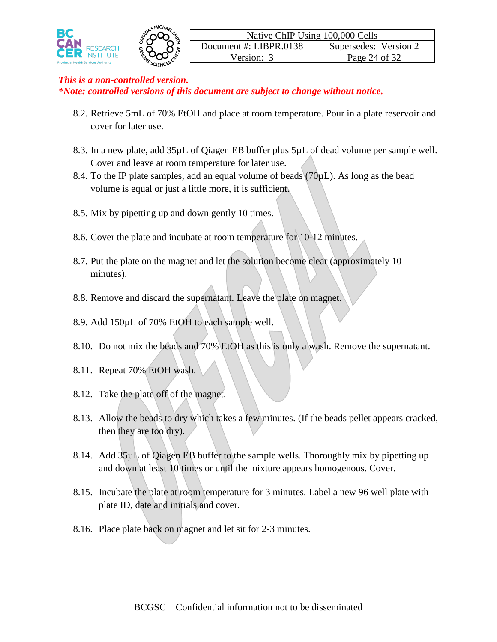

- 8.2. Retrieve 5mL of 70% EtOH and place at room temperature. Pour in a plate reservoir and cover for later use.
- 8.3. In a new plate, add 35µL of Qiagen EB buffer plus 5µL of dead volume per sample well. Cover and leave at room temperature for later use.
- 8.4. To the IP plate samples, add an equal volume of beads  $(70\mu L)$ . As long as the bead volume is equal or just a little more, it is sufficient.
- 8.5. Mix by pipetting up and down gently 10 times.
- 8.6. Cover the plate and incubate at room temperature for 10-12 minutes.
- 8.7. Put the plate on the magnet and let the solution become clear (approximately 10 minutes).
- 8.8. Remove and discard the supernatant. Leave the plate on magnet.
- 8.9. Add 150µL of 70% EtOH to each sample well.
- 8.10. Do not mix the beads and 70% EtOH as this is only a wash. Remove the supernatant.
- 8.11. Repeat 70% EtOH wash.
- 8.12. Take the plate off of the magnet.
- 8.13. Allow the beads to dry which takes a few minutes. (If the beads pellet appears cracked, then they are too dry).
- 8.14. Add 35µL of Qiagen EB buffer to the sample wells. Thoroughly mix by pipetting up and down at least 10 times or until the mixture appears homogenous. Cover.
- 8.15. Incubate the plate at room temperature for 3 minutes. Label a new 96 well plate with plate ID, date and initials and cover.
- 8.16. Place plate back on magnet and let sit for 2-3 minutes.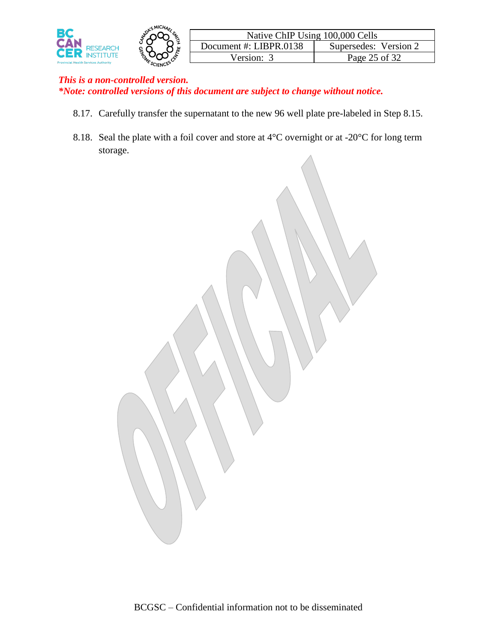

- 8.17. Carefully transfer the supernatant to the new 96 well plate pre-labeled in Step 8.15.
- 8.18. Seal the plate with a foil cover and store at 4<sup>o</sup>C overnight or at -20<sup>o</sup>C for long term storage.

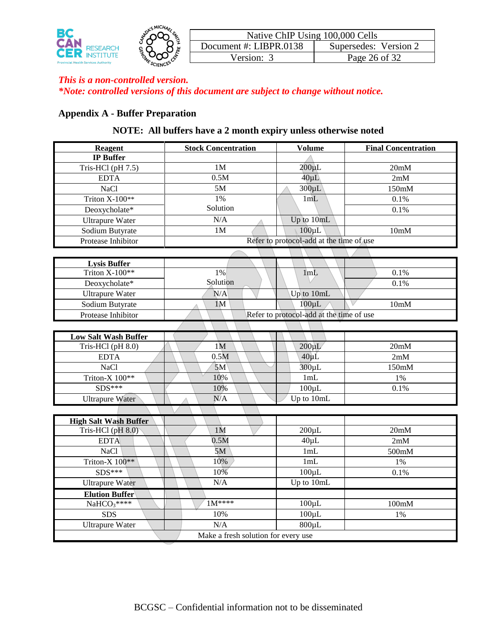

#### **Appendix A - Buffer Preparation**

### **NOTE: All buffers have a 2 month expiry unless otherwise noted**

| <b>Reagent</b>                      | <b>Stock Concentration</b>               | <b>Volume</b>                            | <b>Final Concentration</b> |  |
|-------------------------------------|------------------------------------------|------------------------------------------|----------------------------|--|
| <b>IP Buffer</b>                    |                                          |                                          |                            |  |
| Tris-HCl (pH 7.5)                   | 1M                                       | $200 \mu L$                              | 20mM                       |  |
| <b>EDTA</b>                         | 0.5M                                     | $40 \mu L$                               | 2mM                        |  |
| NaCl                                | 5M                                       | $300 \mu L$                              | 150mM                      |  |
| Triton X-100**                      | 1%                                       | 1mL                                      | 0.1%                       |  |
| Deoxycholate*                       | Solution                                 |                                          | 0.1%                       |  |
| <b>Ultrapure Water</b>              | N/A                                      | Up to 10mL                               |                            |  |
| Sodium Butyrate                     | 1M                                       | $100 \mu L$                              | 10mM                       |  |
| Protease Inhibitor                  |                                          | Refer to protocol-add at the time of use |                            |  |
|                                     |                                          |                                          |                            |  |
| <b>Lysis Buffer</b>                 |                                          |                                          |                            |  |
| Triton X-100**                      | 1%                                       | 1mL                                      | 0.1%                       |  |
| Deoxycholate*                       | Solution                                 |                                          | 0.1%                       |  |
| <b>Ultrapure Water</b>              | N/A                                      | Up to 10mL                               |                            |  |
| Sodium Butyrate                     | 1 <sub>M</sub>                           | $100 \mu L$                              | 10mM                       |  |
| Protease Inhibitor                  | Refer to protocol-add at the time of use |                                          |                            |  |
|                                     |                                          |                                          |                            |  |
| <b>Low Salt Wash Buffer</b>         |                                          |                                          |                            |  |
| Tris-HCl (pH 8.0)                   | 1 <sub>M</sub>                           | $200 \mu L$                              | 20mM                       |  |
| <b>EDTA</b>                         | 0.5M                                     | $40 \mu L$                               | 2mM                        |  |
| <b>NaCl</b>                         | 5M                                       | $300 \mu L$                              | 150mM                      |  |
| Triton-X 100**                      | 10%                                      | 1mL                                      | $1\%$                      |  |
| SDS***                              | 10%                                      | $100 \mu L$                              | 0.1%                       |  |
| <b>Ultrapure Water</b>              | N/A                                      | Up to 10mL                               |                            |  |
|                                     |                                          |                                          |                            |  |
| <b>High Salt Wash Buffer</b>        |                                          |                                          |                            |  |
| Tris-HCl (pH 8.0)                   | 1 <sub>M</sub>                           | $200 \mu L$                              | 20mM                       |  |
| <b>EDTA</b>                         | 0.5M                                     | $40 \mu L$                               | 2mM                        |  |
| <b>NaCl</b>                         | 5M                                       | 1mL                                      | 500mM                      |  |
| Triton-X 100**                      | 10%                                      | 1mL                                      | 1%                         |  |
| $SDS***$                            | 10%                                      | $100 \mu L$                              | 0.1%                       |  |
| <b>Ultrapure Water</b>              | N/A                                      | Up to 10mL                               |                            |  |
| <b>Elution Buffer</b>               |                                          |                                          |                            |  |
| NaHCO <sub>3</sub> ****             | $1M^{***}$                               | $100 \mu L$                              | 100mM                      |  |
| <b>SDS</b>                          | 10%                                      | $100 \mu L$                              | $1\%$                      |  |
| <b>Ultrapure Water</b>              | N/A                                      | $800 \mu L$                              |                            |  |
| Make a fresh solution for every use |                                          |                                          |                            |  |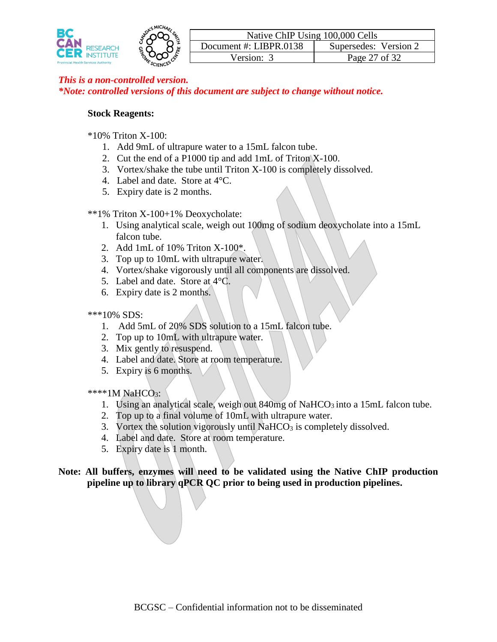

#### **Stock Reagents:**

- \*10% Triton X-100:
	- 1. Add 9mL of ultrapure water to a 15mL falcon tube.
	- 2. Cut the end of a P1000 tip and add 1mL of Triton X-100.
	- 3. Vortex/shake the tube until Triton X-100 is completely dissolved.
	- 4. Label and date. Store at 4°C.
	- 5. Expiry date is 2 months.

\*\*1% Triton X-100+1% Deoxycholate:

- 1. Using analytical scale, weigh out 100mg of sodium deoxycholate into a 15mL falcon tube.
- 2. Add 1mL of 10% Triton X-100\*.
- 3. Top up to 10mL with ultrapure water.
- 4. Vortex/shake vigorously until all components are dissolved.
- 5. Label and date. Store at 4°C.
- 6. Expiry date is 2 months.

#### \*\*\*10% SDS:

- 1. Add 5mL of 20% SDS solution to a 15mL falcon tube.
- 2. Top up to 10mL with ultrapure water.
- 3. Mix gently to resuspend.
- 4. Label and date. Store at room temperature.
- 5. Expiry is 6 months.

\*\*\*\*1M NaHCO<sub>3</sub>:

- 1. Using an analytical scale, weigh out 840mg of NaHCO<sub>3</sub> into a 15mL falcon tube.
- 2. Top up to a final volume of 10mL with ultrapure water.
- 3. Vortex the solution vigorously until  $NaHCO<sub>3</sub>$  is completely dissolved.
- 4. Label and date. Store at room temperature.
- 5. Expiry date is 1 month.

**Note: All buffers, enzymes will need to be validated using the Native ChIP production pipeline up to library qPCR QC prior to being used in production pipelines.**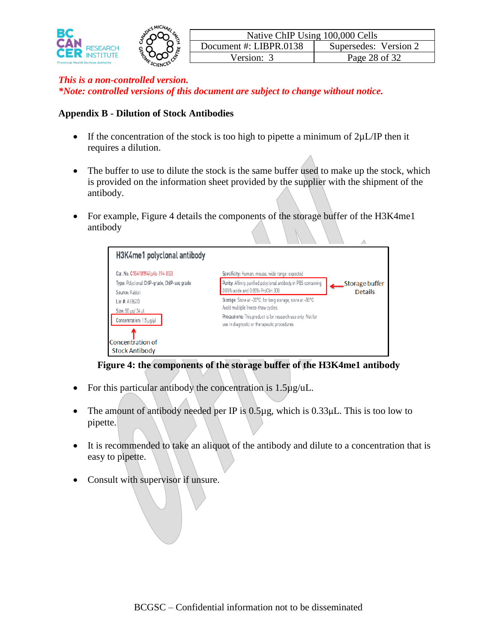

#### **Appendix B - Dilution of Stock Antibodies**

- If the concentration of the stock is too high to pipette a minimum of  $2\mu L/IP$  then it requires a dilution.
- The buffer to use to dilute the stock is the same buffer used to make up the stock, which is provided on the information sheet provided by the supplier with the shipment of the antibody.
- For example, Figure 4 details the components of the storage buffer of the H3K4me1 antibody

| H3K4me1 polyclonal antibody                                                                                  |                                                                                                                                                                                                                 |                                  |
|--------------------------------------------------------------------------------------------------------------|-----------------------------------------------------------------------------------------------------------------------------------------------------------------------------------------------------------------|----------------------------------|
| Cat. No. C15410194 [pAb-194-050]<br>Type: Polyclonal ChIP-grade, ChIP-seg grade<br>Source: Rabbit            | Specificity: Human, mouse, wide range: expected<br>Purity: Affinity purified polyclonal antibody in PBS containing<br>0.05% azide and 0.05% ProClin 300.                                                        | Storage buffer<br><b>Details</b> |
| Lot #: A1862D<br>Size: 50 µg/ 34 µl<br>Concentration: 1.5 µg/µl<br>Concentration of<br><b>Stock Antibody</b> | Storage: Store at -20°C; for long storage, store at -80°C.<br>Avoid multiple freeze-thaw cycles.<br>Precautions: This product is for research use only. Not for<br>use in diagnostic or therapeutic procedures. |                                  |

#### **Figure 4: the components of the storage buffer of the H3K4me1 antibody**

- For this particular antibody the concentration is  $1.5\mu$ g/uL.
- The amount of antibody needed per IP is  $0.5\mu$ g, which is  $0.33\mu$ L. This is too low to pipette.
- It is recommended to take an aliquot of the antibody and dilute to a concentration that is easy to pipette.
- Consult with supervisor if unsure.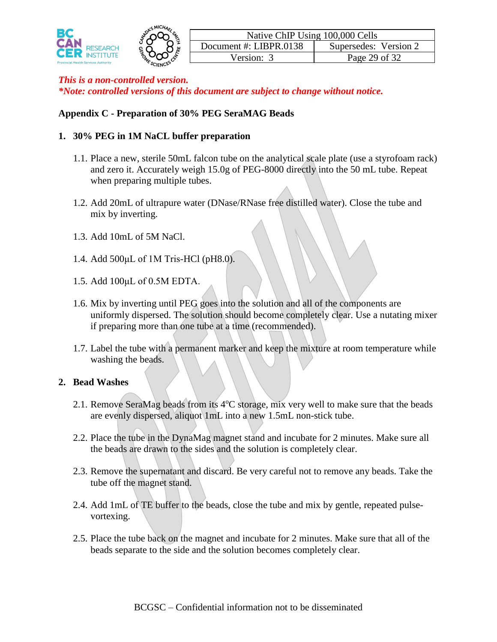

#### **Appendix C - Preparation of 30% PEG SeraMAG Beads**

#### **1. 30% PEG in 1M NaCL buffer preparation**

- 1.1. Place a new, sterile 50mL falcon tube on the analytical scale plate (use a styrofoam rack) and zero it. Accurately weigh 15.0g of PEG-8000 directly into the 50 mL tube. Repeat when preparing multiple tubes.
- 1.2. Add 20mL of ultrapure water (DNase/RNase free distilled water). Close the tube and mix by inverting.
- 1.3. Add 10mL of 5M NaCl.
- 1.4. Add 500μL of 1M Tris-HCl (pH8.0).
- 1.5. Add 100μL of 0.5M EDTA.
- 1.6. Mix by inverting until PEG goes into the solution and all of the components are uniformly dispersed. The solution should become completely clear. Use a nutating mixer if preparing more than one tube at a time (recommended).
- 1.7. Label the tube with a permanent marker and keep the mixture at room temperature while washing the beads.

#### **2. Bead Washes**

- 2.1. Remove SeraMag beads from its  $4^{\circ}$ C storage, mix very well to make sure that the beads are evenly dispersed, aliquot 1mL into a new 1.5mL non-stick tube.
- 2.2. Place the tube in the DynaMag magnet stand and incubate for 2 minutes. Make sure all the beads are drawn to the sides and the solution is completely clear.
- 2.3. Remove the supernatant and discard. Be very careful not to remove any beads. Take the tube off the magnet stand.
- 2.4. Add 1mL of TE buffer to the beads, close the tube and mix by gentle, repeated pulsevortexing.
- 2.5. Place the tube back on the magnet and incubate for 2 minutes. Make sure that all of the beads separate to the side and the solution becomes completely clear.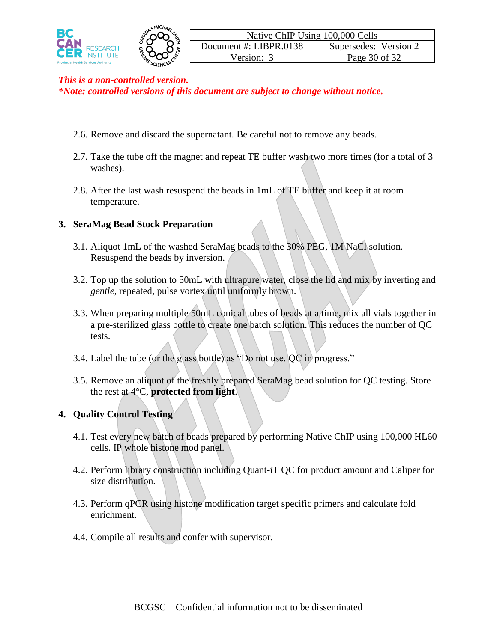

- 2.6. Remove and discard the supernatant. Be careful not to remove any beads.
- 2.7. Take the tube off the magnet and repeat TE buffer wash two more times (for a total of 3 washes).
- 2.8. After the last wash resuspend the beads in 1mL of TE buffer and keep it at room temperature.

#### **3. SeraMag Bead Stock Preparation**

- 3.1. Aliquot 1mL of the washed SeraMag beads to the 30% PEG, 1M NaCl solution. Resuspend the beads by inversion.
- 3.2. Top up the solution to 50mL with ultrapure water, close the lid and mix by inverting and *gentle*, repeated, pulse vortex until uniformly brown.
- 3.3. When preparing multiple 50mL conical tubes of beads at a time, mix all vials together in a pre-sterilized glass bottle to create one batch solution. This reduces the number of QC tests.
- 3.4. Label the tube (or the glass bottle) as "Do not use. QC in progress."
- 3.5. Remove an aliquot of the freshly prepared SeraMag bead solution for QC testing. Store the rest at 4°C, **protected from light**.

#### **4. Quality Control Testing**

- 4.1. Test every new batch of beads prepared by performing Native ChIP using 100,000 HL60 cells. IP whole histone mod panel.
- 4.2. Perform library construction including Quant-iT QC for product amount and Caliper for size distribution.
- 4.3. Perform qPCR using histone modification target specific primers and calculate fold enrichment.
- 4.4. Compile all results and confer with supervisor.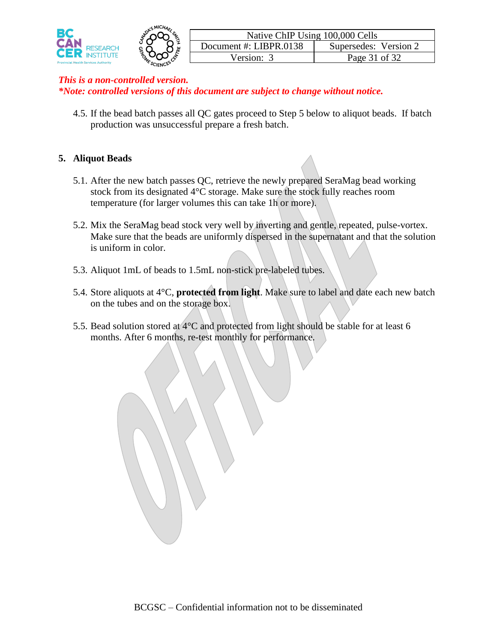

4.5. If the bead batch passes all QC gates proceed to Step 5 below to aliquot beads. If batch production was unsuccessful prepare a fresh batch.

#### **5. Aliquot Beads**

- 5.1. After the new batch passes QC, retrieve the newly prepared SeraMag bead working stock from its designated 4°C storage. Make sure the stock fully reaches room temperature (for larger volumes this can take 1h or more).
- 5.2. Mix the SeraMag bead stock very well by inverting and gentle, repeated, pulse-vortex. Make sure that the beads are uniformly dispersed in the supernatant and that the solution is uniform in color.
- 5.3. Aliquot 1mL of beads to 1.5mL non-stick pre-labeled tubes.
- 5.4. Store aliquots at 4°C, **protected from light**. Make sure to label and date each new batch on the tubes and on the storage box.
- 5.5. Bead solution stored at  $4^{\circ}$ C and protected from light should be stable for at least 6 months. After 6 months, re-test monthly for performance.